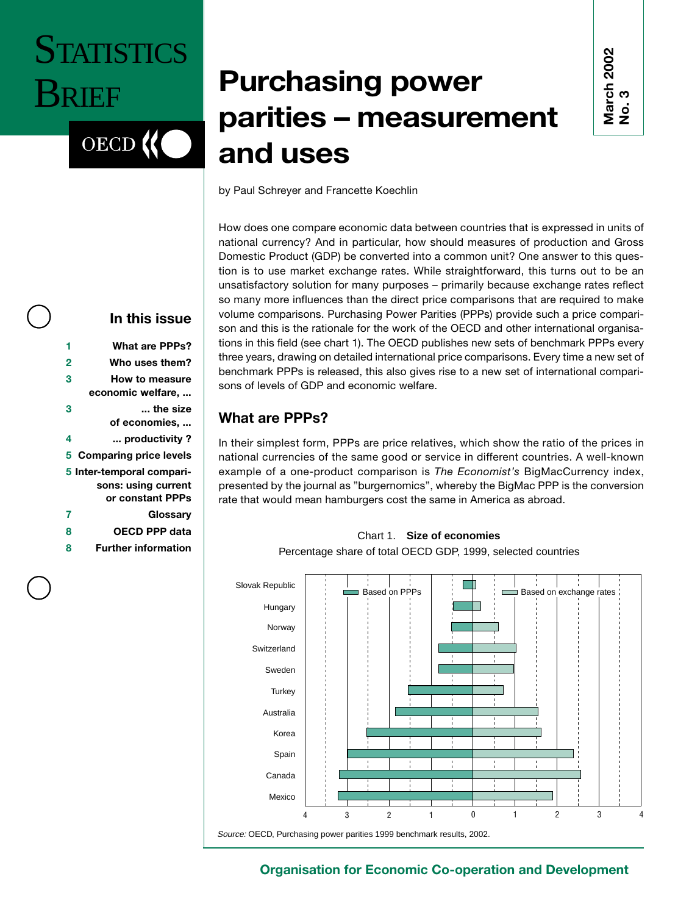## **STATISTICS BRIEF**

OECD<sup>(</sup>

### **Purchasing power parities – measurement and uses**

**March 2002 No. 3**

by Paul Schreyer and Francette Koechlin

How does one compare economic data between countries that is expressed in units of national currency? And in particular, how should measures of production and Gross Domestic Product (GDP) be converted into a common unit? One answer to this question is to use market exchange rates. While straightforward, this turns out to be an unsatisfactory solution for many purposes – primarily because exchange rates reflect so many more influences than the direct price comparisons that are required to make volume comparisons. Purchasing Power Parities (PPPs) provide such a price comparison and this is the rationale for the work of the OECD and other international organisations in this field (see chart 1). The OECD publishes new sets of benchmark PPPs every three years, drawing on detailed international price comparisons. Every time a new set of benchmark PPPs is released, this also gives rise to a new set of international comparisons of levels of GDP and economic welfare.

#### **What are PPPs?**

In their simplest form, PPPs are price relatives, which show the ratio of the prices in national currencies of the same good or service in different countries. A well-known example of a one-product comparison is *The Economist's* BigMacCurrency index, presented by the journal as "burgernomics", whereby the BigMac PPP is the conversion rate that would mean hamburgers cost the same in America as abroad.

Chart 1. **Size of economies**



Source: OECD, Purchasing power parities 1999 benchmark results, 2002.

# **In this issue**

**3 How to measure economic welfare, ... 3 ... the size of economies, ... 4 ... productivity ? 5 Comparing price levels 5 Inter-temporal comparisons: using current or constant PPPs 7 Glossary 8 OECD PPP data**

**1 What are PPPs? 2 Who uses them?**

**8 Further information**

#### **Organisation for Economic Co-operation and Development**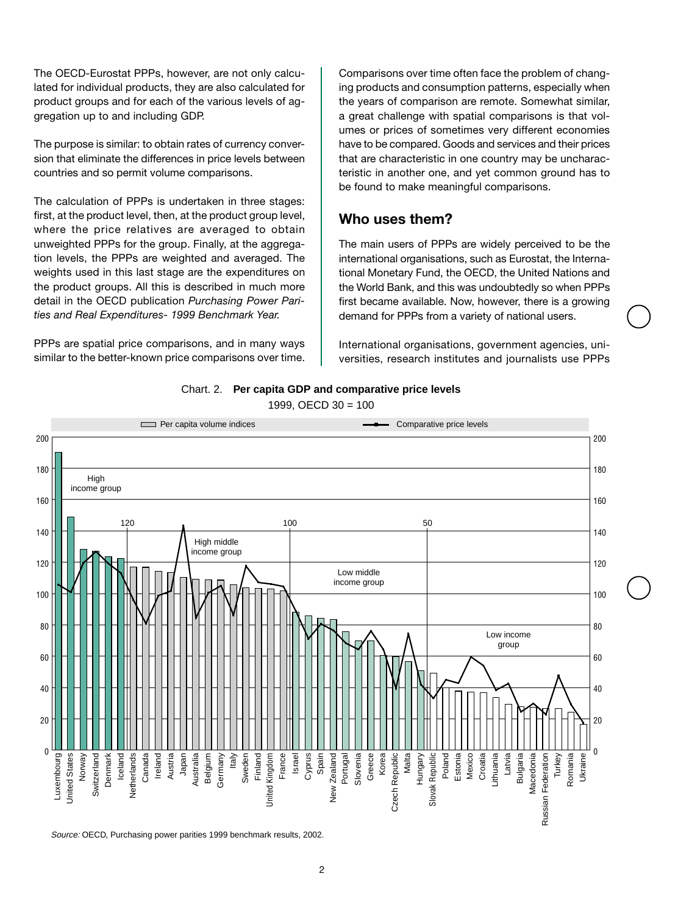The OECD-Eurostat PPPs, however, are not only calculated for individual products, they are also calculated for product groups and for each of the various levels of aggregation up to and including GDP.

The purpose is similar: to obtain rates of currency conversion that eliminate the differences in price levels between countries and so permit volume comparisons.

The calculation of PPPs is undertaken in three stages: first, at the product level, then, at the product group level, where the price relatives are averaged to obtain unweighted PPPs for the group. Finally, at the aggregation levels, the PPPs are weighted and averaged. The weights used in this last stage are the expenditures on the product groups. All this is described in much more detail in the OECD publication *Purchasing Power Parities and Real Expenditures- 1999 Benchmark Year.*

PPPs are spatial price comparisons, and in many ways similar to the better-known price comparisons over time.

Comparisons over time often face the problem of changing products and consumption patterns, especially when the years of comparison are remote. Somewhat similar, a great challenge with spatial comparisons is that volumes or prices of sometimes very different economies have to be compared. Goods and services and their prices that are characteristic in one country may be uncharacteristic in another one, and yet common ground has to be found to make meaningful comparisons.

#### **Who uses them?**

The main users of PPPs are widely perceived to be the international organisations, such as Eurostat, the International Monetary Fund, the OECD, the United Nations and the World Bank, and this was undoubtedly so when PPPs first became available. Now, however, there is a growing demand for PPPs from a variety of national users.

International organisations, government agencies, universities, research institutes and journalists use PPPs



<sup>1999,</sup> OECD 30 = 100



Source: OECD, Purchasing power parities 1999 benchmark results, 2002.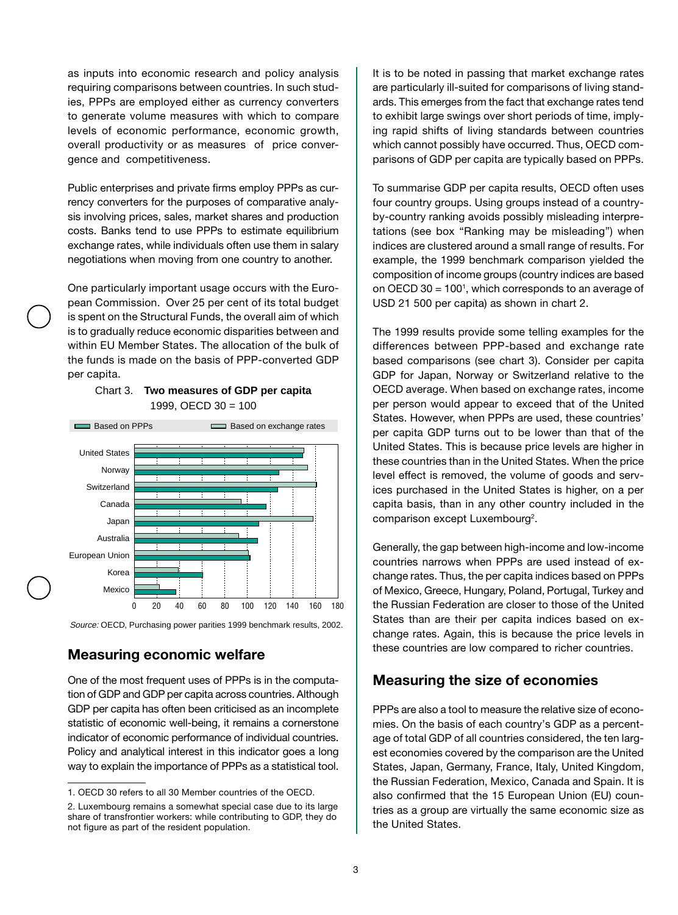as inputs into economic research and policy analysis requiring comparisons between countries. In such studies, PPPs are employed either as currency converters to generate volume measures with which to compare levels of economic performance, economic growth, overall productivity or as measures of price convergence and competitiveness.

Public enterprises and private firms employ PPPs as currency converters for the purposes of comparative analysis involving prices, sales, market shares and production costs. Banks tend to use PPPs to estimate equilibrium exchange rates, while individuals often use them in salary negotiations when moving from one country to another.

One particularly important usage occurs with the European Commission. Over 25 per cent of its total budget is spent on the Structural Funds, the overall aim of which is to gradually reduce economic disparities between and within EU Member States. The allocation of the bulk of the funds is made on the basis of PPP-converted GDP per capita.



#### Chart 3. **Two measures of GDP per capita** 1999, OECD 30 = 100

Source: OECD, Purchasing power parities 1999 benchmark results, 2002.

#### **Measuring economic welfare**

One of the most frequent uses of PPPs is in the computation of GDP and GDP per capita across countries. Although GDP per capita has often been criticised as an incomplete statistic of economic well-being, it remains a cornerstone indicator of economic performance of individual countries. Policy and analytical interest in this indicator goes a long way to explain the importance of PPPs as a statistical tool.

It is to be noted in passing that market exchange rates are particularly ill-suited for comparisons of living standards. This emerges from the fact that exchange rates tend to exhibit large swings over short periods of time, implying rapid shifts of living standards between countries which cannot possibly have occurred. Thus, OECD comparisons of GDP per capita are typically based on PPPs.

To summarise GDP per capita results, OECD often uses four country groups. Using groups instead of a countryby-country ranking avoids possibly misleading interpretations (see box "Ranking may be misleading") when indices are clustered around a small range of results. For example, the 1999 benchmark comparison yielded the composition of income groups (country indices are based on OECD 30 = 1001, which corresponds to an average of USD 21 500 per capita) as shown in chart 2.

The 1999 results provide some telling examples for the differences between PPP-based and exchange rate based comparisons (see chart 3). Consider per capita GDP for Japan, Norway or Switzerland relative to the OECD average. When based on exchange rates, income per person would appear to exceed that of the United States. However, when PPPs are used, these countries' per capita GDP turns out to be lower than that of the United States. This is because price levels are higher in these countries than in the United States. When the price level effect is removed, the volume of goods and services purchased in the United States is higher, on a per capita basis, than in any other country included in the comparison except Luxembourg<sup>2</sup>.

Generally, the gap between high-income and low-income countries narrows when PPPs are used instead of exchange rates. Thus, the per capita indices based on PPPs of Mexico, Greece, Hungary, Poland, Portugal, Turkey and the Russian Federation are closer to those of the United States than are their per capita indices based on exchange rates. Again, this is because the price levels in these countries are low compared to richer countries.

#### **Measuring the size of economies**

PPPs are also a tool to measure the relative size of economies. On the basis of each country's GDP as a percentage of total GDP of all countries considered, the ten largest economies covered by the comparison are the United States, Japan, Germany, France, Italy, United Kingdom, the Russian Federation, Mexico, Canada and Spain. It is also confirmed that the 15 European Union (EU) countries as a group are virtually the same economic size as the United States.

<sup>1.</sup> OECD 30 refers to all 30 Member countries of the OECD.

<sup>2.</sup> Luxembourg remains a somewhat special case due to its large share of transfrontier workers: while contributing to GDP, they do not figure as part of the resident population.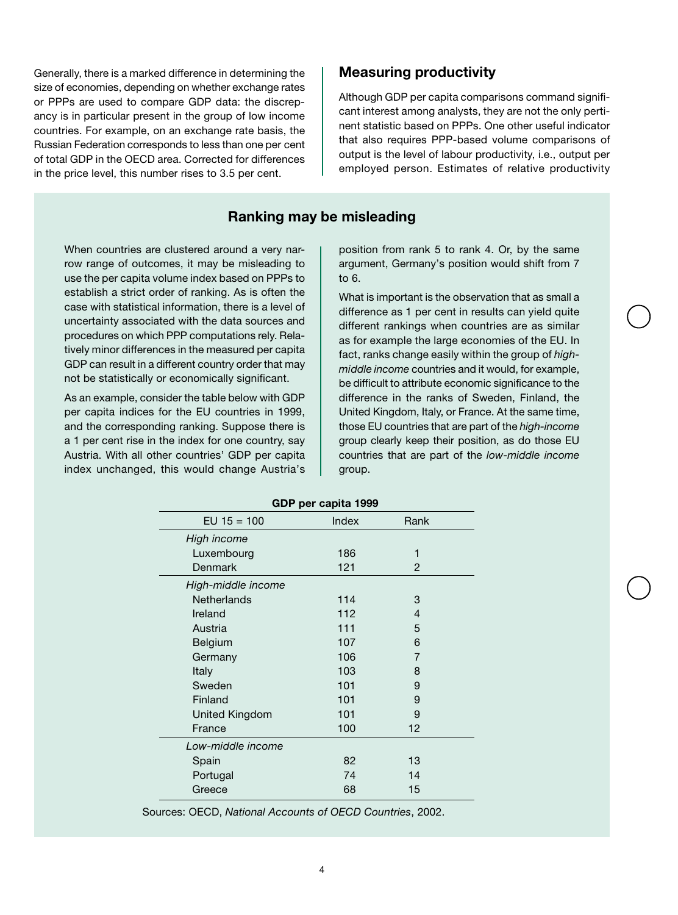Generally, there is a marked difference in determining the size of economies, depending on whether exchange rates or PPPs are used to compare GDP data: the discrepancy is in particular present in the group of low income countries. For example, on an exchange rate basis, the Russian Federation corresponds to less than one per cent of total GDP in the OECD area. Corrected for differences in the price level, this number rises to 3.5 per cent.

#### **Measuring productivity**

Although GDP per capita comparisons command significant interest among analysts, they are not the only pertinent statistic based on PPPs. One other useful indicator that also requires PPP-based volume comparisons of output is the level of labour productivity, i.e., output per employed person. Estimates of relative productivity

#### **Ranking may be misleading**

When countries are clustered around a very narrow range of outcomes, it may be misleading to use the per capita volume index based on PPPs to establish a strict order of ranking. As is often the case with statistical information, there is a level of uncertainty associated with the data sources and procedures on which PPP computations rely. Relatively minor differences in the measured per capita GDP can result in a different country order that may not be statistically or economically significant.

As an example, consider the table below with GDP per capita indices for the EU countries in 1999, and the corresponding ranking. Suppose there is a 1 per cent rise in the index for one country, say Austria. With all other countries' GDP per capita index unchanged, this would change Austria's

position from rank 5 to rank 4. Or, by the same argument, Germany's position would shift from 7 to 6.

What is important is the observation that as small a difference as 1 per cent in results can yield quite different rankings when countries are as similar as for example the large economies of the EU. In fact, ranks change easily within the group of *highmiddle income* countries and it would, for example, be difficult to attribute economic significance to the difference in the ranks of Sweden, Finland, the United Kingdom, Italy, or France. At the same time, those EU countries that are part of the *high-income* group clearly keep their position, as do those EU countries that are part of the *low-middle income* group.

| GDP per capita 1999 |       |      |  |
|---------------------|-------|------|--|
| EU $15 = 100$       | Index | Rank |  |
| High income         |       |      |  |
| Luxembourg          | 186   | 1    |  |
| Denmark             | 121   | 2    |  |
| High-middle income  |       |      |  |
| <b>Netherlands</b>  | 114   | 3    |  |
| Ireland             | 112   | 4    |  |
| Austria             | 111   | 5    |  |
| Belgium             | 107   | 6    |  |
| Germany             | 106   | 7    |  |
| Italy               | 103   | 8    |  |
| Sweden              | 101   | 9    |  |
| Finland             | 101   | 9    |  |
| United Kingdom      | 101   | 9    |  |
| France              | 100   | 12   |  |
| Low-middle income   |       |      |  |
| Spain               | 82    | 13   |  |
| Portugal            | 74    | 14   |  |
| Greece              | 68    | 15   |  |

Sources: OECD, *National Accounts of OECD Countries*, 2002.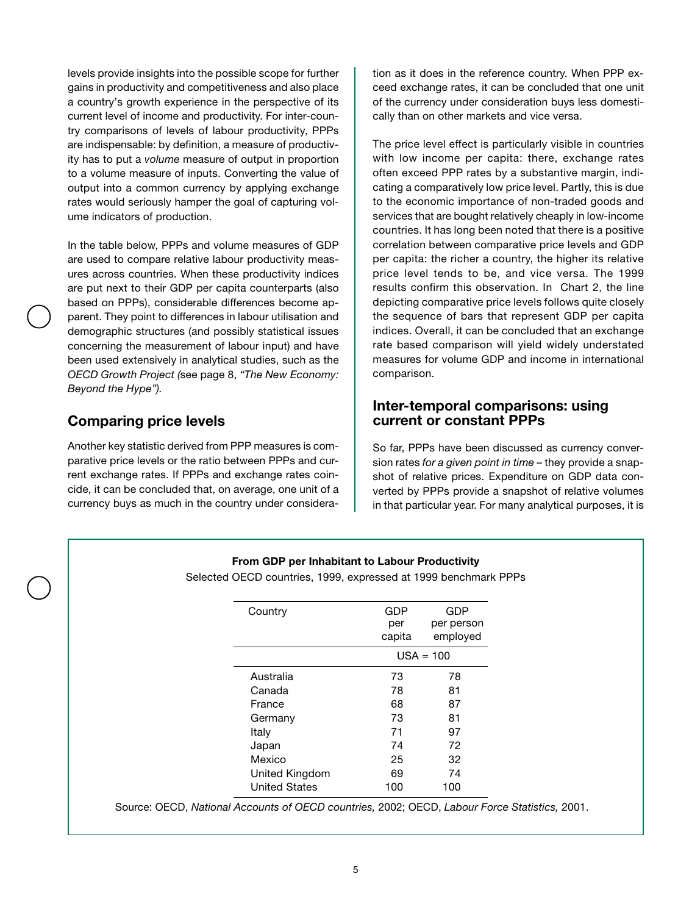levels provide insights into the possible scope for further gains in productivity and competitiveness and also place a country's growth experience in the perspective of its current level of income and productivity. For inter-country comparisons of levels of labour productivity, PPPs are indispensable: by definition, a measure of productivity has to put a *volume* measure of output in proportion to a volume measure of inputs. Converting the value of output into a common currency by applying exchange rates would seriously hamper the goal of capturing volume indicators of production.

In the table below, PPPs and volume measures of GDP are used to compare relative labour productivity measures across countries. When these productivity indices are put next to their GDP per capita counterparts (also based on PPPs), considerable differences become apparent. They point to differences in labour utilisation and demographic structures (and possibly statistical issues concerning the measurement of labour input) and have been used extensively in analytical studies, such as the *OECD Growth Project (*see page 8, *"The New Economy: Beyond the Hype").*

#### **Comparing price levels**

Another key statistic derived from PPP measures is comparative price levels or the ratio between PPPs and current exchange rates. If PPPs and exchange rates coincide, it can be concluded that, on average, one unit of a currency buys as much in the country under consideration as it does in the reference country. When PPP exceed exchange rates, it can be concluded that one unit of the currency under consideration buys less domestically than on other markets and vice versa.

The price level effect is particularly visible in countries with low income per capita: there, exchange rates often exceed PPP rates by a substantive margin, indicating a comparatively low price level. Partly, this is due to the economic importance of non-traded goods and services that are bought relatively cheaply in low-income countries. It has long been noted that there is a positive correlation between comparative price levels and GDP per capita: the richer a country, the higher its relative price level tends to be, and vice versa. The 1999 results confirm this observation. In Chart 2, the line depicting comparative price levels follows quite closely the sequence of bars that represent GDP per capita indices. Overall, it can be concluded that an exchange rate based comparison will yield widely understated measures for volume GDP and income in international comparison.

#### **Inter-temporal comparisons: using current or constant PPPs**

So far, PPPs have been discussed as currency conversion rates *for a given point in time* – they provide a snapshot of relative prices. Expenditure on GDP data converted by PPPs provide a snapshot of relative volumes in that particular year. For many analytical purposes, it is

#### **From GDP per Inhabitant to Labour Productivity**

Selected OECD countries, 1999, expressed at 1999 benchmark PPPs

| Country              | GDP<br>per  | GDP<br>per person |
|----------------------|-------------|-------------------|
|                      | capita      | employed          |
|                      | $USA = 100$ |                   |
| Australia            | 73          | 78                |
| Canada               | 78          | 81                |
| France               | 68          | 87                |
| Germany              | 73          | 81                |
| Italy                | 71          | 97                |
| Japan                | 74          | 72                |
| Mexico               | 25          | 32                |
| United Kingdom       | 69          | 74                |
| <b>United States</b> | 100         | 100               |
|                      |             |                   |

Source: OECD, *National Accounts of OECD countries,* 2002; OECD, *Labour Force Statistics,* 2001.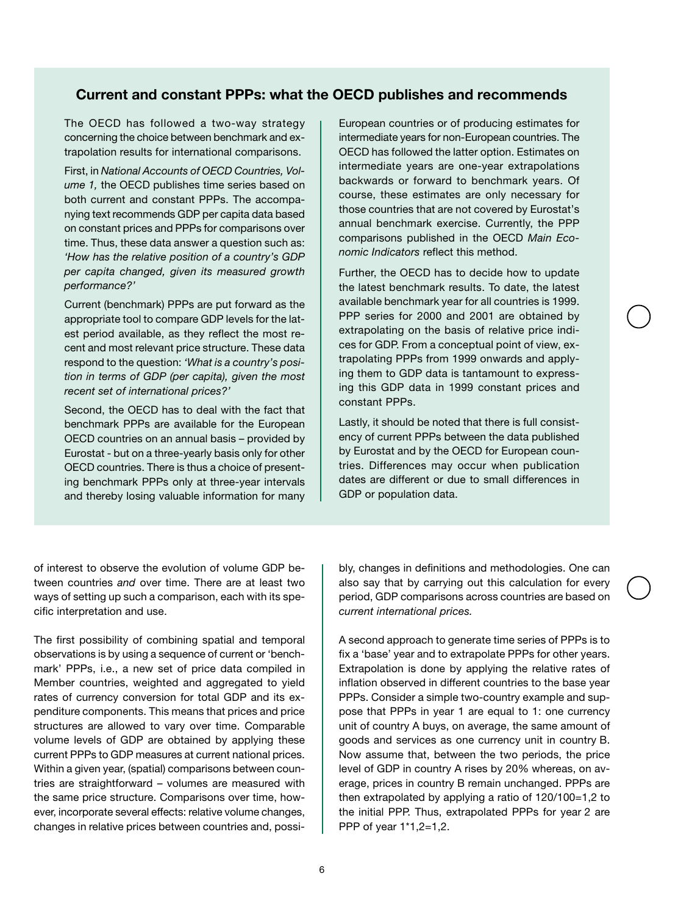#### **Current and constant PPPs: what the OECD publishes and recommends**

The OECD has followed a two-way strategy concerning the choice between benchmark and extrapolation results for international comparisons.

First, in *National Accounts of OECD Countries, Volume 1,* the OECD publishes time series based on both current and constant PPPs. The accompanying text recommends GDP per capita data based on constant prices and PPPs for comparisons over time. Thus, these data answer a question such as: *'How has the relative position of a country's GDP per capita changed, given its measured growth performance?'*

Current (benchmark) PPPs are put forward as the appropriate tool to compare GDP levels for the latest period available, as they reflect the most recent and most relevant price structure. These data respond to the question: *'What is a country's position in terms of GDP (per capita), given the most recent set of international prices?'*

Second, the OECD has to deal with the fact that benchmark PPPs are available for the European OECD countries on an annual basis – provided by Eurostat - but on a three-yearly basis only for other OECD countries. There is thus a choice of presenting benchmark PPPs only at three-year intervals and thereby losing valuable information for many European countries or of producing estimates for intermediate years for non-European countries. The OECD has followed the latter option. Estimates on intermediate years are one-year extrapolations backwards or forward to benchmark years. Of course, these estimates are only necessary for those countries that are not covered by Eurostat's annual benchmark exercise. Currently, the PPP comparisons published in the OECD *Main Economic Indicators* reflect this method.

Further, the OECD has to decide how to update the latest benchmark results. To date, the latest available benchmark year for all countries is 1999. PPP series for 2000 and 2001 are obtained by extrapolating on the basis of relative price indices for GDP. From a conceptual point of view, extrapolating PPPs from 1999 onwards and applying them to GDP data is tantamount to expressing this GDP data in 1999 constant prices and constant PPPs.

Lastly, it should be noted that there is full consistency of current PPPs between the data published by Eurostat and by the OECD for European countries. Differences may occur when publication dates are different or due to small differences in GDP or population data.

of interest to observe the evolution of volume GDP between countries *and* over time. There are at least two ways of setting up such a comparison, each with its specific interpretation and use.

The first possibility of combining spatial and temporal observations is by using a sequence of current or 'benchmark' PPPs, i.e., a new set of price data compiled in Member countries, weighted and aggregated to yield rates of currency conversion for total GDP and its expenditure components. This means that prices and price structures are allowed to vary over time. Comparable volume levels of GDP are obtained by applying these current PPPs to GDP measures at current national prices. Within a given year, (spatial) comparisons between countries are straightforward – volumes are measured with the same price structure. Comparisons over time, however, incorporate several effects: relative volume changes, changes in relative prices between countries and, possibly, changes in definitions and methodologies. One can also say that by carrying out this calculation for every period, GDP comparisons across countries are based on *current international prices.*

A second approach to generate time series of PPPs is to fix a 'base' year and to extrapolate PPPs for other years. Extrapolation is done by applying the relative rates of inflation observed in different countries to the base year PPPs. Consider a simple two-country example and suppose that PPPs in year 1 are equal to 1: one currency unit of country A buys, on average, the same amount of goods and services as one currency unit in country B. Now assume that, between the two periods, the price level of GDP in country A rises by 20% whereas, on average, prices in country B remain unchanged. PPPs are then extrapolated by applying a ratio of 120/100=1,2 to the initial PPP. Thus, extrapolated PPPs for year 2 are PPP of year 1\*1,2=1,2.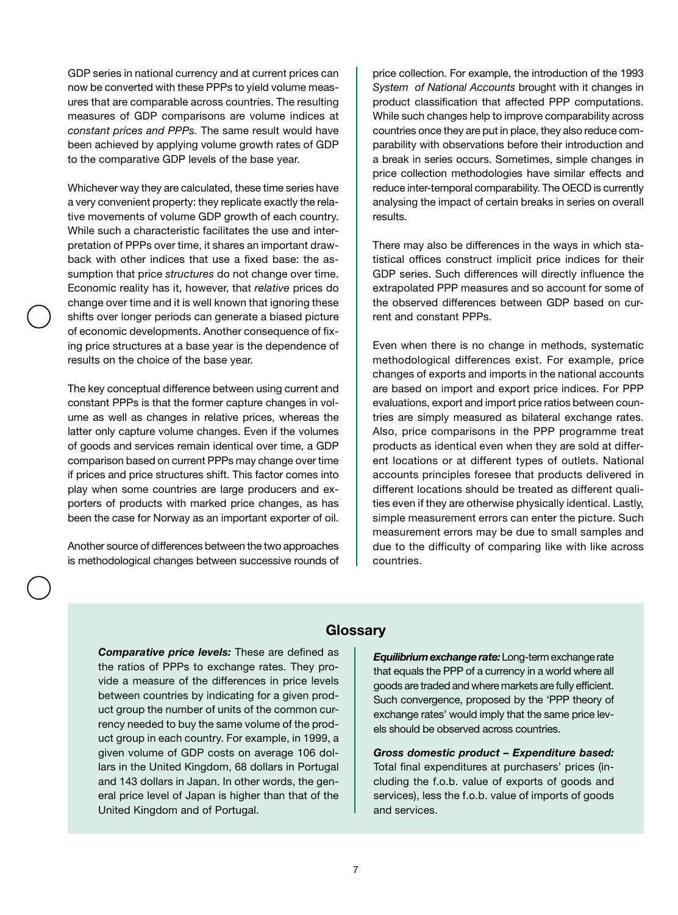GDP series in national currency and at current prices can now be converted with these PPPs to yield volume measures that are comparable across countries. The resulting measures of GDP comparisons are volume indices at *constant prices and PPPs.* The same result would have been achieved by applying volume growth rates of GDP to the comparative GDP levels of the base year.

Whichever way they are calculated, these time series have a very convenient property: they replicate exactly the relative movements of volume GDP growth of each country. While such a characteristic facilitates the use and interpretation of PPPs over time, it shares an important drawback with other indices that use a fixed base: the assumption that price *structures* do not change over time. Economic reality has it, however, that *relative* prices do change over time and it is well known that ignoring these shifts over longer periods can generate a biased picture of economic developments. Another consequence of fixing price structures at a base year is the dependence of results on the choice of the base year.

The key conceptual difference between using current and constant PPPs is that the former capture changes in volume as well as changes in relative prices, whereas the latter only capture volume changes. Even if the volumes of goods and services remain identical over time, a GDP comparison based on current PPPs may change over time if prices and price structures shift. This factor comes into play when some countries are large producers and exporters of products with marked price changes, as has been the case for Norway as an important exporter of oil.

Another source of differences between the two approaches is methodological changes between successive rounds of price collection. For example, the introduction of the 1993 *System of National Accounts* brought with it changes in product classification that affected PPP computations. While such changes help to improve comparability across countries once they are put in place, they also reduce comparability with observations before their introduction and a break in series occurs. Sometimes, simple changes in price collection methodologies have similar effects and reduce inter-temporal comparability. The OECD is currently analysing the impact of certain breaks in series on overall results.

There may also be differences in the ways in which statistical offices construct implicit price indices for their GDP series. Such differences will directly influence the extrapolated PPP measures and so account for some of the observed differences between GDP based on current and constant PPPs.

Even when there is no change in methods, systematic methodological differences exist. For example, price changes of exports and imports in the national accounts are based on import and export price indices. For PPP evaluations, export and import price ratios between countries are simply measured as bilateral exchange rates. Also, price comparisons in the PPP programme treat products as identical even when they are sold at different locations or at different types of outlets. National accounts principles foresee that products delivered in different locations should be treated as different qualities even if they are otherwise physically identical. Lastly, simple measurement errors can enter the picture. Such measurement errors may be due to small samples and due to the difficulty of comparing like with like across countries.

#### **Glossary**

*Comparative price levels:* These are defined as the ratios of PPPs to exchange rates. They provide a measure of the differences in price levels between countries by indicating for a given product group the number of units of the common currency needed to buy the same volume of the product group in each country. For example, in 1999, a given volume of GDP costs on average 106 dollars in the United Kingdom, 68 dollars in Portugal and 143 dollars in Japan. In other words, the general price level of Japan is higher than that of the United Kingdom and of Portugal.

*Equilibrium exchange rate:* Long-term exchange rate that equals the PPP of a currency in a world where all goods are traded and where markets are fully efficient. Such convergence, proposed by the 'PPP theory of exchange rates' would imply that the same price levels should be observed across countries.

*Gross domestic product – Expenditure based:* Total final expenditures at purchasers' prices (including the f.o.b. value of exports of goods and services), less the f.o.b. value of imports of goods and services.